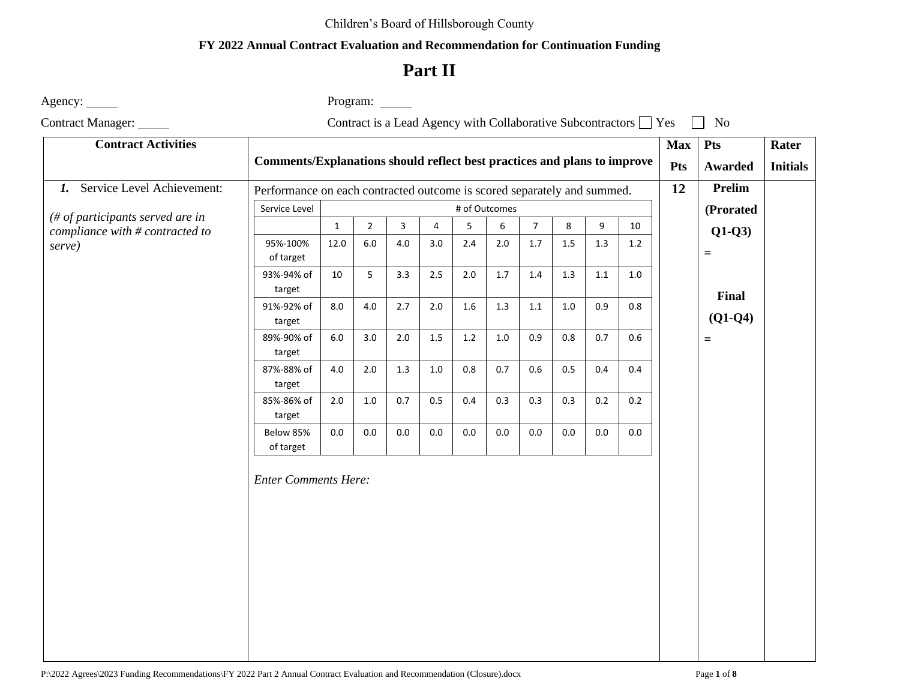### Children's Board of Hillsborough County

### **FY 2022 Annual Contract Evaluation and Recommendation for Continuation Funding**

# **Part II**

Agency: <u>example</u> and the example of Program: <u>example</u> and Program: <u>example of Program:</u>

Contract Manager: Contract is a Lead Agency with Collaborative Subcontractors  $\Box$  Yes  $\Box$  No

| <b>Contract Activities</b>       |                                                                          |              |                |         |                |         |     |                |         |         | <b>Max</b> | <b>Pts</b> | Rater              |                 |
|----------------------------------|--------------------------------------------------------------------------|--------------|----------------|---------|----------------|---------|-----|----------------|---------|---------|------------|------------|--------------------|-----------------|
|                                  | Comments/Explanations should reflect best practices and plans to improve |              |                |         |                |         |     |                |         |         |            | <b>Pts</b> | Awarded            | <b>Initials</b> |
| 1. Service Level Achievement:    | Performance on each contracted outcome is scored separately and summed.  |              |                |         |                |         |     |                |         |         |            | 12         | <b>Prelim</b>      |                 |
| (# of participants served are in | Service Level<br># of Outcomes                                           |              |                |         |                |         |     |                |         |         |            |            | (Prorated          |                 |
| compliance with # contracted to  |                                                                          | $\mathbf{1}$ | $\overline{2}$ | 3       | $\overline{4}$ | 5       | 6   | $\overline{7}$ | 8       | 9       | 10         |            | $Q1-Q3$            |                 |
| serve)                           | 95%-100%<br>of target                                                    | 12.0         | $6.0\,$        | 4.0     | 3.0            | 2.4     | 2.0 | $1.7\,$        | $1.5\,$ | $1.3\,$ | $1.2\,$    |            | $\qquad \qquad =$  |                 |
|                                  | 93%-94% of<br>target                                                     | 10           | 5              | 3.3     | 2.5            | 2.0     | 1.7 | 1.4            | $1.3\,$ | $1.1\,$ | 1.0        |            |                    |                 |
|                                  | 91%-92% of<br>target                                                     | 8.0          | $4.0\,$        | 2.7     | 2.0            | $1.6\,$ | 1.3 | $1.1\,$        | $1.0\,$ | 0.9     | 0.8        |            | Final<br>$(Q1-Q4)$ |                 |
|                                  | 89%-90% of<br>target                                                     | 6.0          | 3.0            | 2.0     | 1.5            | 1.2     | 1.0 | 0.9            | 0.8     | 0.7     | 0.6        |            | $=$                |                 |
|                                  | 87%-88% of<br>target                                                     | $4.0\,$      | $2.0\,$        | $1.3\,$ | $1.0\,$        | $0.8\,$ | 0.7 | 0.6            | 0.5     | 0.4     | 0.4        |            |                    |                 |
|                                  | 85%-86% of<br>target                                                     | $2.0\,$      | $1.0\,$        | 0.7     | 0.5            | 0.4     | 0.3 | 0.3            | 0.3     | 0.2     | 0.2        |            |                    |                 |
|                                  | Below 85%<br>of target                                                   | 0.0          | $0.0\,$        | $0.0\,$ | 0.0            | 0.0     | 0.0 | 0.0            | $0.0\,$ | $0.0\,$ | $0.0\,$    |            |                    |                 |
|                                  | <b>Enter Comments Here:</b>                                              |              |                |         |                |         |     |                |         |         |            |            |                    |                 |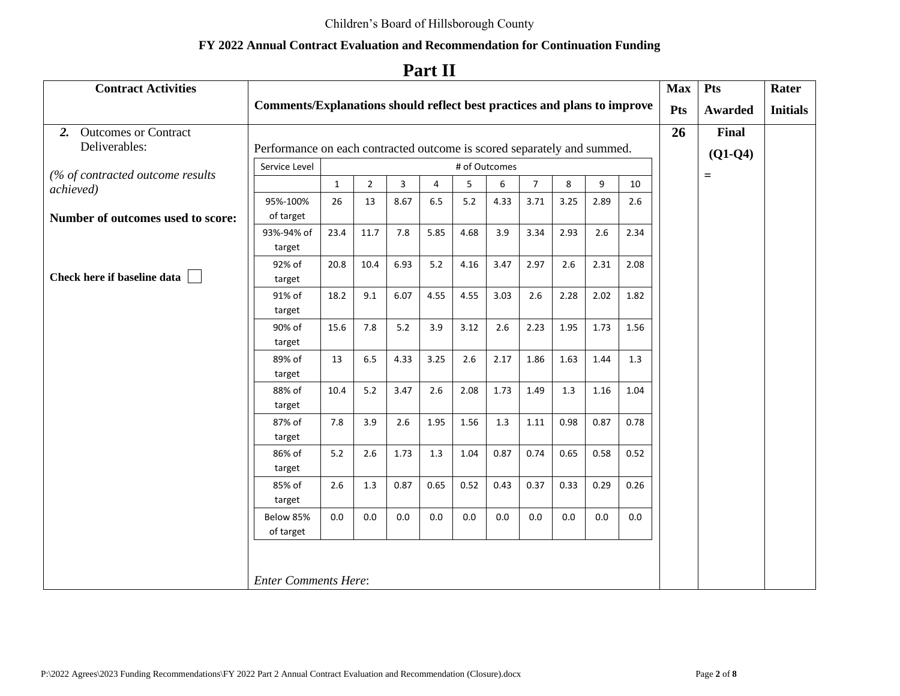# **Part II**

| <b>Contract Activities</b>                    |                                                                          |              |                |      |                |      |         |                |      |      |      | <b>Max</b> | Pts               | Rater           |
|-----------------------------------------------|--------------------------------------------------------------------------|--------------|----------------|------|----------------|------|---------|----------------|------|------|------|------------|-------------------|-----------------|
|                                               | Comments/Explanations should reflect best practices and plans to improve |              |                |      |                |      |         |                |      |      |      | Pts        | <b>Awarded</b>    | <b>Initials</b> |
| 2. Outcomes or Contract                       |                                                                          |              |                |      |                |      |         |                |      |      |      | 26         | Final             |                 |
| Deliverables:                                 | Performance on each contracted outcome is scored separately and summed.  |              |                |      |                |      |         |                |      |      |      |            | $(Q1-Q4)$         |                 |
|                                               | Service Level<br># of Outcomes                                           |              |                |      |                |      |         |                |      |      |      |            |                   |                 |
| (% of contracted outcome results<br>achieved) |                                                                          | $\mathbf{1}$ | $\overline{2}$ | 3    | $\overline{4}$ | 5    | 6       | $\overline{7}$ | 8    | 9    | 10   |            | $\qquad \qquad =$ |                 |
|                                               | 95%-100%                                                                 | 26           | 13             | 8.67 | 6.5            | 5.2  | 4.33    | 3.71           | 3.25 | 2.89 | 2.6  |            |                   |                 |
| Number of outcomes used to score:             | of target                                                                |              |                |      |                |      |         |                |      |      |      |            |                   |                 |
|                                               | 93%-94% of                                                               | 23.4         | 11.7           | 7.8  | 5.85           | 4.68 | 3.9     | 3.34           | 2.93 | 2.6  | 2.34 |            |                   |                 |
|                                               | target                                                                   |              |                |      |                |      |         |                |      |      |      |            |                   |                 |
|                                               | 92% of                                                                   | 20.8         | 10.4           | 6.93 | $5.2$          | 4.16 | 3.47    | 2.97           | 2.6  | 2.31 | 2.08 |            |                   |                 |
| Check here if baseline data                   | target                                                                   |              |                |      |                |      |         |                |      |      |      |            |                   |                 |
|                                               | 91% of<br>target                                                         | 18.2         | 9.1            | 6.07 | 4.55           | 4.55 | 3.03    | 2.6            | 2.28 | 2.02 | 1.82 |            |                   |                 |
|                                               | 90% of                                                                   | 15.6         | 7.8            | 5.2  | 3.9            | 3.12 | 2.6     | 2.23           | 1.95 | 1.73 | 1.56 |            |                   |                 |
|                                               | target                                                                   |              |                |      |                |      |         |                |      |      |      |            |                   |                 |
|                                               | 89% of                                                                   | 13           | 6.5            | 4.33 | 3.25           | 2.6  | 2.17    | 1.86           | 1.63 | 1.44 | 1.3  |            |                   |                 |
|                                               | target                                                                   |              |                |      |                |      |         |                |      |      |      |            |                   |                 |
|                                               | 88% of                                                                   | 10.4         | $5.2$          | 3.47 | 2.6            | 2.08 | 1.73    | 1.49           | 1.3  | 1.16 | 1.04 |            |                   |                 |
|                                               | target                                                                   |              |                |      |                |      |         |                |      |      |      |            |                   |                 |
|                                               | 87% of                                                                   | 7.8          | 3.9            | 2.6  | 1.95           | 1.56 | 1.3     | 1.11           | 0.98 | 0.87 | 0.78 |            |                   |                 |
|                                               | target                                                                   |              |                |      |                |      |         |                |      |      |      |            |                   |                 |
|                                               | 86% of                                                                   | $5.2$        | 2.6            | 1.73 | 1.3            | 1.04 | 0.87    | 0.74           | 0.65 | 0.58 | 0.52 |            |                   |                 |
|                                               | target                                                                   |              |                |      |                |      |         |                |      |      |      |            |                   |                 |
|                                               | 85% of                                                                   | 2.6          | 1.3            | 0.87 | 0.65           | 0.52 | 0.43    | 0.37           | 0.33 | 0.29 | 0.26 |            |                   |                 |
|                                               | target<br>Below 85%                                                      |              |                |      |                |      |         |                |      |      |      |            |                   |                 |
|                                               | of target                                                                | 0.0          | 0.0            | 0.0  | 0.0            | 0.0  | $0.0\,$ | 0.0            | 0.0  | 0.0  | 0.0  |            |                   |                 |
|                                               |                                                                          |              |                |      |                |      |         |                |      |      |      |            |                   |                 |
|                                               |                                                                          |              |                |      |                |      |         |                |      |      |      |            |                   |                 |
| <b>Enter Comments Here:</b>                   |                                                                          |              |                |      |                |      |         |                |      |      |      |            |                   |                 |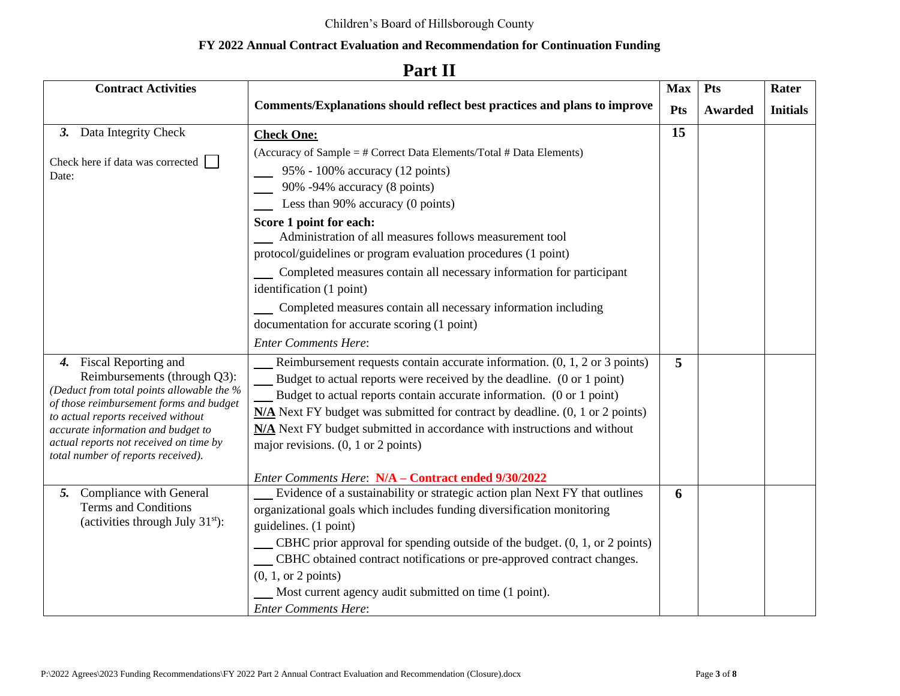#### **Contract Activities Comments/Explanations should reflect best practices and plans to improve Max Pts Pts Awarded Rater Initials** *3.* Data Integrity Check Check here if data was corrected Date: **Check One:** (Accuracy of Sample = # Correct Data Elements/Total # Data Elements) 95% - 100% accuracy (12 points) 90% -94% accuracy (8 points) Less than 90% accuracy (0 points) **Score 1 point for each:** Administration of all measures follows measurement tool protocol/guidelines or program evaluation procedures (1 point) Completed measures contain all necessary information for participant identification (1 point) **Completed measures contain all necessary information including** documentation for accurate scoring (1 point) *Enter Comments Here*: **15** *4.* Fiscal Reporting and Reimbursements (through Q3): *(Deduct from total points allowable the % of those reimbursement forms and budget to actual reports received without accurate information and budget to actual reports not received on time by total number of reports received).* Reimbursement requests contain accurate information. (0, 1, 2 or 3 points) Budget to actual reports were received by the deadline. (0 or 1 point) Budget to actual reports contain accurate information. (0 or 1 point) **N/A** Next FY budget was submitted for contract by deadline. (0, 1 or 2 points) **N/A** Next FY budget submitted in accordance with instructions and without major revisions. (0, 1 or 2 points) *Enter Comments Here*: **N/A – Contract ended 9/30/2022 5** *5.* Compliance with General Terms and Conditions (activities through July  $31<sup>st</sup>$ ): Evidence of a sustainability or strategic action plan Next FY that outlines organizational goals which includes funding diversification monitoring guidelines. (1 point) CBHC prior approval for spending outside of the budget. (0, 1, or 2 points) CBHC obtained contract notifications or pre-approved contract changes. (0, 1, or 2 points) Most current agency audit submitted on time (1 point). *Enter Comments Here*: **6**

## **Part II**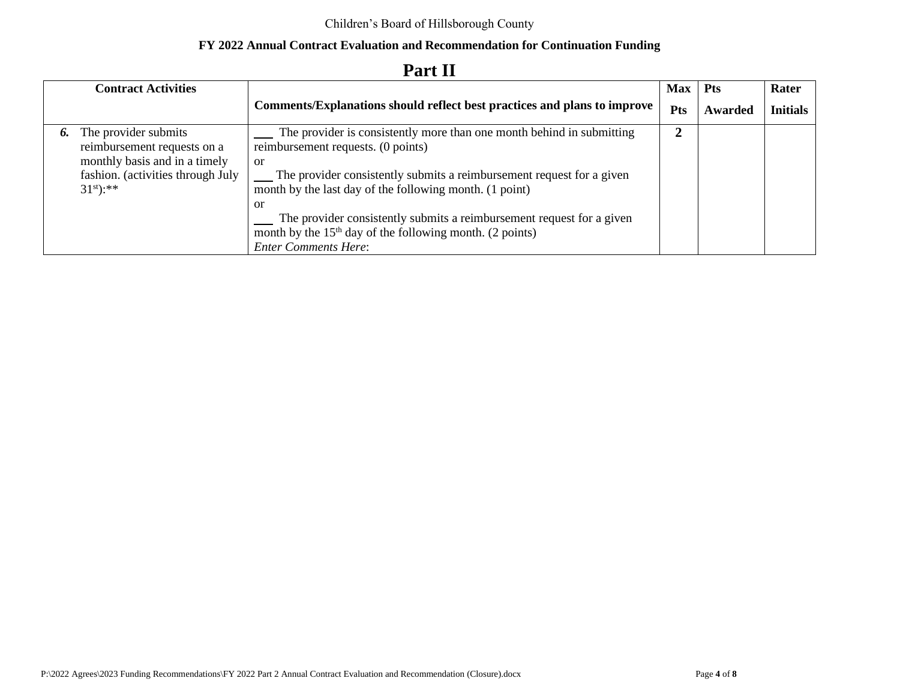|    | <b>Contract Activities</b>                                                           |                                                                                                                                                                           | <b>Max</b> | <b>Pts</b> | Rater           |
|----|--------------------------------------------------------------------------------------|---------------------------------------------------------------------------------------------------------------------------------------------------------------------------|------------|------------|-----------------|
|    |                                                                                      | <b>Comments/Explanations should reflect best practices and plans to improve</b>                                                                                           | Pts        | Awarded    | <b>Initials</b> |
| 6. | The provider submits<br>reimbursement requests on a<br>monthly basis and in a timely | The provider is consistently more than one month behind in submitting<br>reimbursement requests. (0 points)<br>or                                                         |            |            |                 |
|    | fashion. (activities through July<br>$31^{st}$ :**                                   | The provider consistently submits a reimbursement request for a given<br>month by the last day of the following month. (1 point)                                          |            |            |                 |
|    |                                                                                      | -or<br>The provider consistently submits a reimbursement request for a given<br>month by the $15th$ day of the following month. (2 points)<br><b>Enter Comments Here:</b> |            |            |                 |

# **Part II**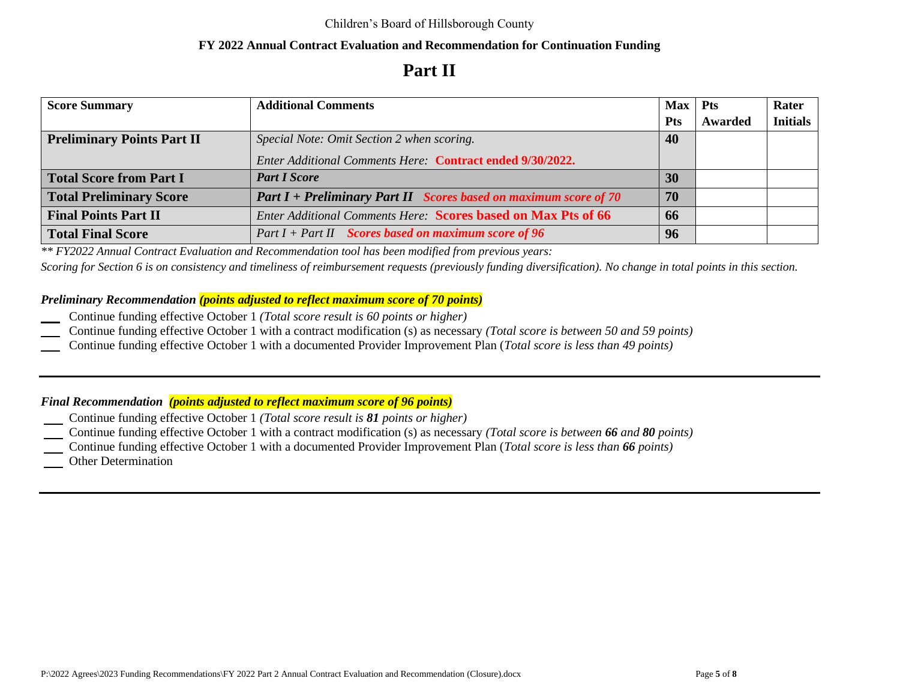# **Part II**

| <b>Score Summary</b>              | <b>Additional Comments</b>                                           | $Max$ Pts  |         | Rater           |
|-----------------------------------|----------------------------------------------------------------------|------------|---------|-----------------|
|                                   |                                                                      | <b>Pts</b> | Awarded | <b>Initials</b> |
| <b>Preliminary Points Part II</b> | Special Note: Omit Section 2 when scoring.                           | 40         |         |                 |
|                                   | Enter Additional Comments Here: Contract ended 9/30/2022.            |            |         |                 |
| <b>Total Score from Part I</b>    | <b>Part I Score</b>                                                  | 30         |         |                 |
| <b>Total Preliminary Score</b>    | Part $I$ + Preliminary Part II Scores based on maximum score of 70   | 70         |         |                 |
| <b>Final Points Part II</b>       | <b>Enter Additional Comments Here: Scores based on Max Pts of 66</b> | 66         |         |                 |
| <b>Total Final Score</b>          | $Part I + Part II$ Scores based on maximum score of 96               | 96         |         |                 |

*\*\* FY2022 Annual Contract Evaluation and Recommendation tool has been modified from previous years:*

*Scoring for Section 6 is on consistency and timeliness of reimbursement requests (previously funding diversification). No change in total points in this section.*

### *Preliminary Recommendation (points adjusted to reflect maximum score of 70 points)*

- Continue funding effective October 1 *(Total score result is 60 points or higher)*
- Continue funding effective October 1 with a contract modification (s) as necessary *(Total score is between 50 and 59 points)*
- Continue funding effective October 1 with a documented Provider Improvement Plan (*Total score is less than 49 points)*

### *Final Recommendation (points adjusted to reflect maximum score of 96 points)*

- Continue funding effective October 1 *(Total score result is 81 points or higher)*
- Continue funding effective October 1 with a contract modification (s) as necessary *(Total score is between 66 and 80 points)*
- Continue funding effective October 1 with a documented Provider Improvement Plan (*Total score is less than 66 points)*
- Other Determination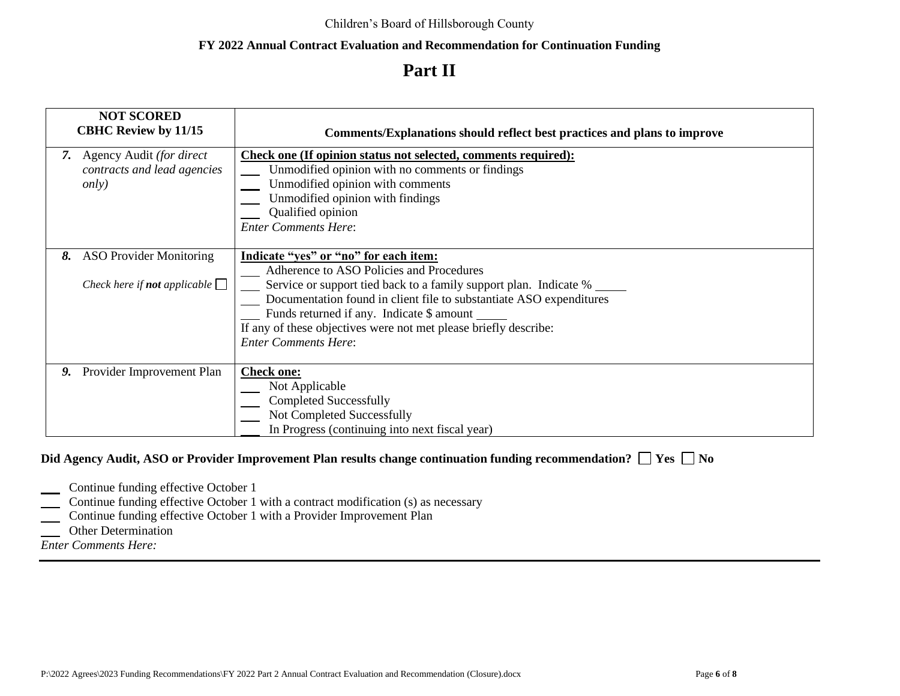# **Part II**

|    | <b>NOT SCORED</b><br><b>CBHC Review by 11/15</b>                             | <b>Comments/Explanations should reflect best practices and plans to improve</b>                                                                                                                                                                                                                                                                                                  |
|----|------------------------------------------------------------------------------|----------------------------------------------------------------------------------------------------------------------------------------------------------------------------------------------------------------------------------------------------------------------------------------------------------------------------------------------------------------------------------|
| 7. | Agency Audit (for direct<br>contracts and lead agencies<br><i>only</i> )     | Check one (If opinion status not selected, comments required):<br>Unmodified opinion with no comments or findings<br>Unmodified opinion with comments<br>Unmodified opinion with findings<br>Qualified opinion<br><b>Enter Comments Here:</b>                                                                                                                                    |
| 8. | <b>ASO Provider Monitoring</b><br>Check here if <b>not</b> applicable $\Box$ | Indicate "yes" or "no" for each item:<br>Adherence to ASO Policies and Procedures<br>Service or support tied back to a family support plan. Indicate %<br>Documentation found in client file to substantiate ASO expenditures<br>Funds returned if any. Indicate \$ amount __<br>If any of these objectives were not met please briefly describe:<br><b>Enter Comments Here:</b> |
| 9. | Provider Improvement Plan                                                    | <b>Check one:</b><br>Not Applicable<br><b>Completed Successfully</b><br>Not Completed Successfully<br>In Progress (continuing into next fiscal year)                                                                                                                                                                                                                             |

### **Did Agency Audit, ASO or Provider Improvement Plan results change continuation funding recommendation? □ Yes □ No**

- **Continue funding effective October 1**
- **Continue funding effective October 1 with a contract modification (s) as necessary**
- Continue funding effective October 1 with a Provider Improvement Plan
- **Other Determination**
- *Enter Comments Here:*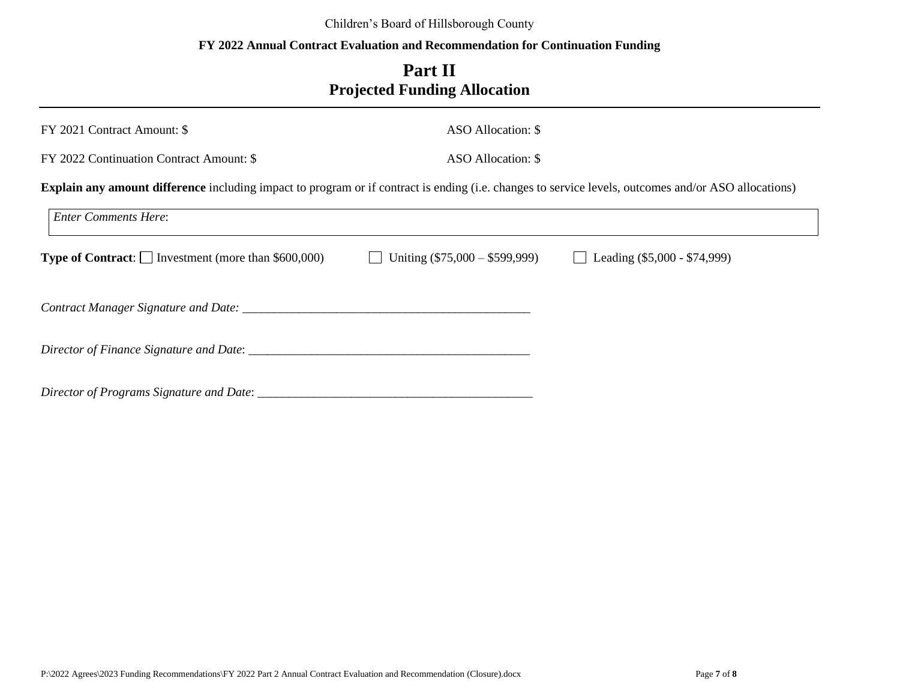### Children's Board of Hillsborough County

### **FY 2022 Annual Contract Evaluation and Recommendation for Continuation Funding**

# **Part II Projected Funding Allocation**

| FY 2021 Contract Amount: \$                                                                                                                                 | ASO Allocation: \$               |                                |  |  |  |  |  |  |  |
|-------------------------------------------------------------------------------------------------------------------------------------------------------------|----------------------------------|--------------------------------|--|--|--|--|--|--|--|
| FY 2022 Continuation Contract Amount: \$                                                                                                                    | ASO Allocation: \$               |                                |  |  |  |  |  |  |  |
| <b>Explain any amount difference</b> including impact to program or if contract is ending (i.e. changes to service levels, outcomes and/or ASO allocations) |                                  |                                |  |  |  |  |  |  |  |
| <b>Enter Comments Here:</b>                                                                                                                                 |                                  |                                |  |  |  |  |  |  |  |
| <b>Type of Contract:</b> $\Box$ Investment (more than \$600,000)                                                                                            | Uniting $(\$75,000 - \$599,999)$ | Leading $(\$5,000 - \$74,999)$ |  |  |  |  |  |  |  |
|                                                                                                                                                             |                                  |                                |  |  |  |  |  |  |  |
|                                                                                                                                                             |                                  |                                |  |  |  |  |  |  |  |
| Director of Programs Signature and Date: ____________                                                                                                       |                                  |                                |  |  |  |  |  |  |  |